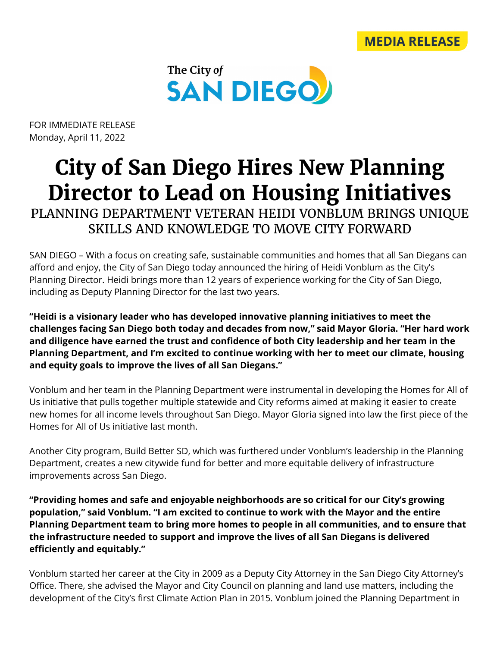



FOR IMMEDIATE RELEASE Monday, April 11, 2022

## **City of San Diego Hires New Planning Director to Lead on Housing Initiatives**

PLANNING DEPARTMENT VETERAN HEIDI VONBLUM BRINGS UNIQUE SKILLS AND KNOWLEDGE TO MOVE CITY FORWARD

SAN DIEGO – With a focus on creating safe, sustainable communities and homes that all San Diegans can afford and enjoy, the City of San Diego today announced the hiring of Heidi Vonblum as the City's Planning Director. Heidi brings more than 12 years of experience working for the City of San Diego, including as Deputy Planning Director for the last two years.

**"Heidi is a visionary leader who has developed innovative planning initiatives to meet the challenges facing San Diego both today and decades from now," said Mayor Gloria. "Her hard work and diligence have earned the trust and confidence of both City leadership and her team in the Planning Department, and I'm excited to continue working with her to meet our climate, housing and equity goals to improve the lives of all San Diegans."**

Vonblum and her team in the Planning Department were instrumental in developing the Homes for All of Us initiative that pulls together multiple statewide and City reforms aimed at making it easier to create new homes for all income levels throughout San Diego. Mayor Gloria signed into law the first piece of the Homes for All of Us initiative last month.

Another City program, Build Better SD, which was furthered under Vonblum's leadership in the Planning Department, creates a new citywide fund for better and more equitable delivery of infrastructure improvements across San Diego.

**"Providing homes and safe and enjoyable neighborhoods are so critical for our City's growing population," said Vonblum. "I am excited to continue to work with the Mayor and the entire Planning Department team to bring more homes to people in all communities, and to ensure that the infrastructure needed to support and improve the lives of all San Diegans is delivered efficiently and equitably."**

Vonblum started her career at the City in 2009 as a Deputy City Attorney in the San Diego City Attorney's Office. There, she advised the Mayor and City Council on planning and land use matters, including the development of the City's first Climate Action Plan in 2015. Vonblum joined the Planning Department in